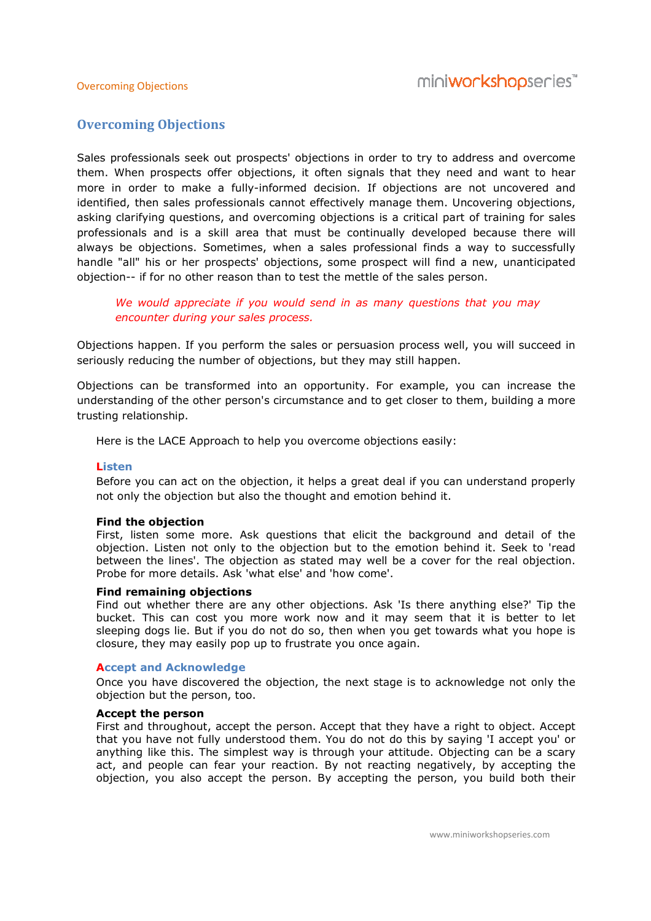# Overcoming Objections

Sales professionals seek out prospects' objections in order to try to address and overcome them. When prospects offer objections, it often signals that they need and want to hear more in order to make a fully-informed decision. If objections are not uncovered and identified, then sales professionals cannot effectively manage them. Uncovering objections, asking clarifying questions, and overcoming objections is a critical part of training for sales professionals and is a skill area that must be continually developed because there will always be objections. Sometimes, when a sales professional finds a way to successfully handle "all" his or her prospects' objections, some prospect will find a new, unanticipated objection-- if for no other reason than to test the mettle of the sales person.

We would appreciate if you would send in as many questions that you may encounter during your sales process.

Objections happen. If you perform the sales or persuasion process well, you will succeed in seriously reducing the number of objections, but they may still happen.

Objections can be transformed into an opportunity. For example, you can increase the understanding of the other person's circumstance and to get closer to them, building a more trusting relationship.

Here is the LACE Approach to help you overcome objections easily:

#### Listen

Before you can act on the objection, it helps a great deal if you can understand properly not only the objection but also the thought and emotion behind it.

#### Find the objection

First, listen some more. Ask questions that elicit the background and detail of the objection. Listen not only to the objection but to the emotion behind it. Seek to 'read between the lines'. The objection as stated may well be a cover for the real objection. Probe for more details. Ask 'what else' and 'how come'.

# Find remaining objections

Find out whether there are any other objections. Ask 'Is there anything else?' Tip the bucket. This can cost you more work now and it may seem that it is better to let sleeping dogs lie. But if you do not do so, then when you get towards what you hope is closure, they may easily pop up to frustrate you once again.

#### Accept and Acknowledge

Once you have discovered the objection, the next stage is to acknowledge not only the objection but the person, too.

#### Accept the person

First and throughout, accept the person. Accept that they have a right to object. Accept that you have not fully understood them. You do not do this by saying 'I accept you' or anything like this. The simplest way is through your attitude. Objecting can be a scary act, and people can fear your reaction. By not reacting negatively, by accepting the objection, you also accept the person. By accepting the person, you build both their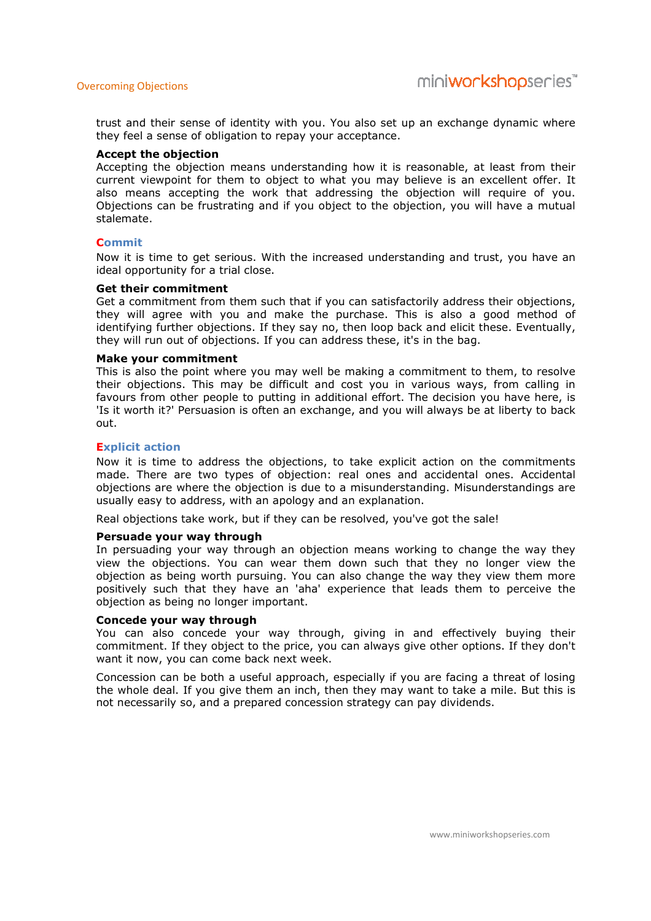trust and their sense of identity with you. You also set up an exchange dynamic where they feel a sense of obligation to repay your acceptance.

#### Accept the objection

Accepting the objection means understanding how it is reasonable, at least from their current viewpoint for them to object to what you may believe is an excellent offer. It also means accepting the work that addressing the objection will require of you. Objections can be frustrating and if you object to the objection, you will have a mutual stalemate.

#### **Commit**

Now it is time to get serious. With the increased understanding and trust, you have an ideal opportunity for a trial close.

#### Get their commitment

Get a commitment from them such that if you can satisfactorily address their objections, they will agree with you and make the purchase. This is also a good method of identifying further objections. If they say no, then loop back and elicit these. Eventually, they will run out of objections. If you can address these, it's in the bag.

#### Make your commitment

This is also the point where you may well be making a commitment to them, to resolve their objections. This may be difficult and cost you in various ways, from calling in favours from other people to putting in additional effort. The decision you have here, is 'Is it worth it?' Persuasion is often an exchange, and you will always be at liberty to back out.

#### Explicit action

Now it is time to address the objections, to take explicit action on the commitments made. There are two types of objection: real ones and accidental ones. Accidental objections are where the objection is due to a misunderstanding. Misunderstandings are usually easy to address, with an apology and an explanation.

Real objections take work, but if they can be resolved, you've got the sale!

#### Persuade your way through

In persuading your way through an objection means working to change the way they view the objections. You can wear them down such that they no longer view the objection as being worth pursuing. You can also change the way they view them more positively such that they have an 'aha' experience that leads them to perceive the objection as being no longer important.

#### Concede your way through

You can also concede your way through, giving in and effectively buying their commitment. If they object to the price, you can always give other options. If they don't want it now, you can come back next week.

Concession can be both a useful approach, especially if you are facing a threat of losing the whole deal. If you give them an inch, then they may want to take a mile. But this is not necessarily so, and a prepared concession strategy can pay dividends.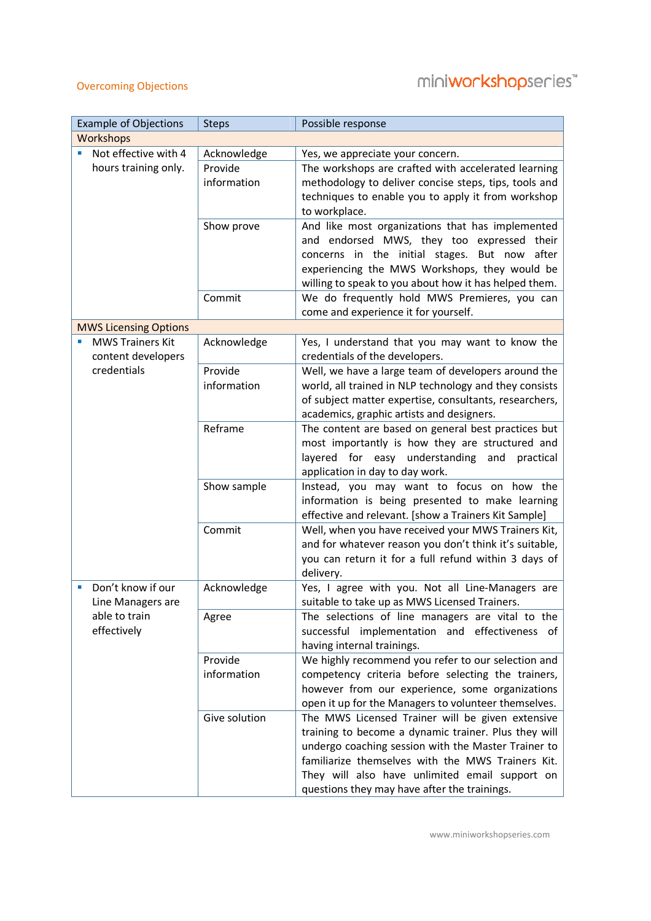# miniworkshopseries<sup>\*\*</sup>

# Overcoming Objections

| <b>Example of Objections</b><br>Possible response<br><b>Steps</b>                                                                           |           |  |  |  |
|---------------------------------------------------------------------------------------------------------------------------------------------|-----------|--|--|--|
| Workshops                                                                                                                                   |           |  |  |  |
| Not effective with 4<br>Acknowledge<br>Yes, we appreciate your concern.                                                                     |           |  |  |  |
| hours training only.<br>Provide<br>The workshops are crafted with accelerated learning                                                      |           |  |  |  |
| information<br>methodology to deliver concise steps, tips, tools and                                                                        |           |  |  |  |
| techniques to enable you to apply it from workshop                                                                                          |           |  |  |  |
| to workplace.                                                                                                                               |           |  |  |  |
| Show prove<br>And like most organizations that has implemented<br>and endorsed MWS, they too expressed their                                |           |  |  |  |
| concerns in the initial stages. But now after                                                                                               |           |  |  |  |
| experiencing the MWS Workshops, they would be                                                                                               |           |  |  |  |
| willing to speak to you about how it has helped them.                                                                                       |           |  |  |  |
| We do frequently hold MWS Premieres, you can<br>Commit                                                                                      |           |  |  |  |
| come and experience it for yourself.                                                                                                        |           |  |  |  |
| <b>MWS Licensing Options</b>                                                                                                                |           |  |  |  |
| <b>MWS Trainers Kit</b><br>Acknowledge<br>Yes, I understand that you may want to know the                                                   |           |  |  |  |
| content developers<br>credentials of the developers.<br>credentials                                                                         |           |  |  |  |
| Provide<br>Well, we have a large team of developers around the<br>information<br>world, all trained in NLP technology and they consists     |           |  |  |  |
| of subject matter expertise, consultants, researchers,                                                                                      |           |  |  |  |
| academics, graphic artists and designers.                                                                                                   |           |  |  |  |
| Reframe<br>The content are based on general best practices but                                                                              |           |  |  |  |
| most importantly is how they are structured and                                                                                             |           |  |  |  |
| layered for easy understanding and                                                                                                          | practical |  |  |  |
| application in day to day work.                                                                                                             |           |  |  |  |
| Show sample<br>Instead, you may want to focus on how the<br>information is being presented to make learning                                 |           |  |  |  |
| effective and relevant. [show a Trainers Kit Sample]                                                                                        |           |  |  |  |
| Commit<br>Well, when you have received your MWS Trainers Kit,                                                                               |           |  |  |  |
| and for whatever reason you don't think it's suitable,                                                                                      |           |  |  |  |
| you can return it for a full refund within 3 days of                                                                                        |           |  |  |  |
| delivery.                                                                                                                                   |           |  |  |  |
| Don't know if our<br>Yes, I agree with you. Not all Line-Managers are<br>Acknowledge<br>×                                                   |           |  |  |  |
| suitable to take up as MWS Licensed Trainers.<br>Line Managers are                                                                          |           |  |  |  |
| able to train<br>The selections of line managers are vital to the<br>Agree<br>effectively<br>successful implementation and effectiveness of |           |  |  |  |
| having internal trainings.                                                                                                                  |           |  |  |  |
| Provide<br>We highly recommend you refer to our selection and                                                                               |           |  |  |  |
| information<br>competency criteria before selecting the trainers,                                                                           |           |  |  |  |
| however from our experience, some organizations                                                                                             |           |  |  |  |
| open it up for the Managers to volunteer themselves.                                                                                        |           |  |  |  |
| Give solution<br>The MWS Licensed Trainer will be given extensive                                                                           |           |  |  |  |
| training to become a dynamic trainer. Plus they will                                                                                        |           |  |  |  |
| undergo coaching session with the Master Trainer to                                                                                         |           |  |  |  |
| familiarize themselves with the MWS Trainers Kit.<br>They will also have unlimited email support on                                         |           |  |  |  |
|                                                                                                                                             |           |  |  |  |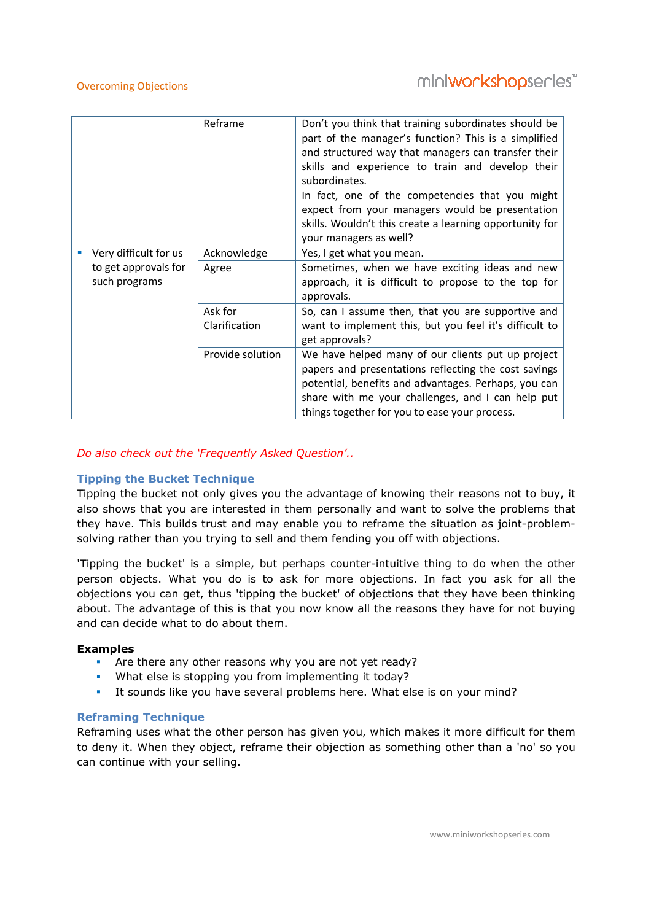# miniworkshopseries<sup>\*\*</sup>

|  |                                       | Reframe                  | Don't you think that training subordinates should be<br>part of the manager's function? This is a simplified<br>and structured way that managers can transfer their<br>skills and experience to train and develop their<br>subordinates.<br>In fact, one of the competencies that you might<br>expect from your managers would be presentation<br>skills. Wouldn't this create a learning opportunity for<br>your managers as well? |
|--|---------------------------------------|--------------------------|-------------------------------------------------------------------------------------------------------------------------------------------------------------------------------------------------------------------------------------------------------------------------------------------------------------------------------------------------------------------------------------------------------------------------------------|
|  | Very difficult for us                 | Acknowledge              | Yes, I get what you mean.                                                                                                                                                                                                                                                                                                                                                                                                           |
|  | to get approvals for<br>such programs | Agree                    | Sometimes, when we have exciting ideas and new<br>approach, it is difficult to propose to the top for<br>approvals.                                                                                                                                                                                                                                                                                                                 |
|  |                                       | Ask for<br>Clarification | So, can I assume then, that you are supportive and<br>want to implement this, but you feel it's difficult to<br>get approvals?                                                                                                                                                                                                                                                                                                      |
|  |                                       | Provide solution         | We have helped many of our clients put up project<br>papers and presentations reflecting the cost savings<br>potential, benefits and advantages. Perhaps, you can<br>share with me your challenges, and I can help put<br>things together for you to ease your process.                                                                                                                                                             |

# Do also check out the 'Frequently Asked Question'..

# Tipping the Bucket Technique

Tipping the bucket not only gives you the advantage of knowing their reasons not to buy, it also shows that you are interested in them personally and want to solve the problems that they have. This builds trust and may enable you to reframe the situation as joint-problemsolving rather than you trying to sell and them fending you off with objections.

'Tipping the bucket' is a simple, but perhaps counter-intuitive thing to do when the other person objects. What you do is to ask for more objections. In fact you ask for all the objections you can get, thus 'tipping the bucket' of objections that they have been thinking about. The advantage of this is that you now know all the reasons they have for not buying and can decide what to do about them.

#### Examples

- **•** Are there any other reasons why you are not yet ready?
- What else is stopping you from implementing it today?
- It sounds like you have several problems here. What else is on your mind?

#### Reframing Technique

Reframing uses what the other person has given you, which makes it more difficult for them to deny it. When they object, reframe their objection as something other than a 'no' so you can continue with your selling.